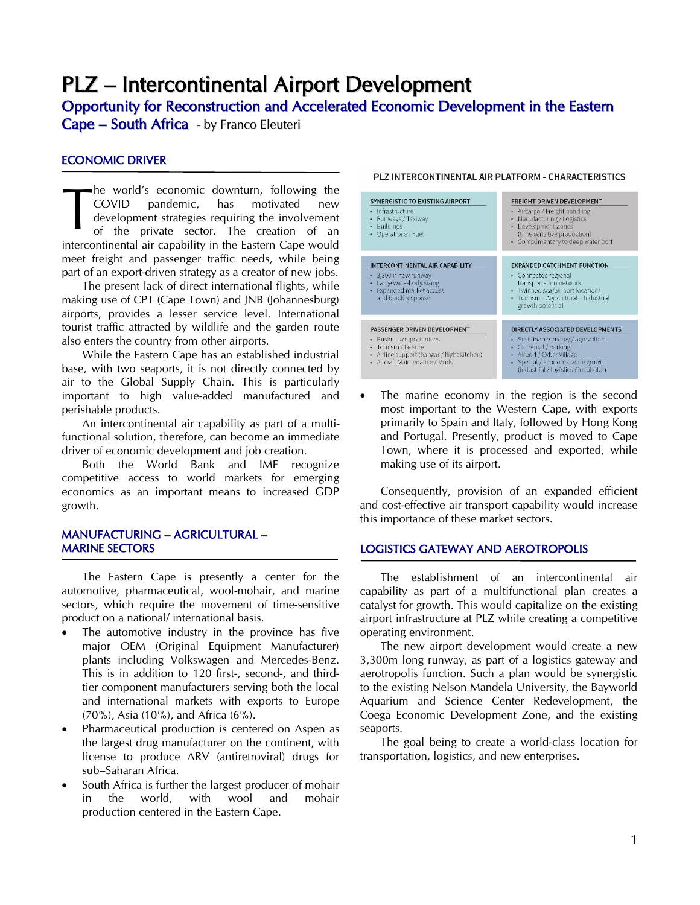# PLZ – Intercontinental Airport Development

# Opportunity for Reconstruction and Accelerated Economic Development in the Eastern

Cape – South Africa - by Franco Eleuteri

# ECONOMIC DRIVER

he world's economic downturn, following the COVID pandemic, has motivated new development strategies requiring the involvement of the private sector. The creation of an intercontinental air capability in the Eastern Cape would meet freight and passenger traffic needs, while being part of an export-driven strategy as a creator of new jobs. T

The present lack of direct international flights, while making use of CPT (Cape Town) and JNB (Johannesburg) airports, provides a lesser service level. International tourist traffic attracted by wildlife and the garden route also enters the country from other airports.

While the Eastern Cape has an established industrial base, with two seaports, it is not directly connected by air to the Global Supply Chain. This is particularly important to high value-added manufactured and perishable products.

An intercontinental air capability as part of a multifunctional solution, therefore, can become an immediate driver of economic development and job creation.

Both the World Bank and IMF recognize competitive access to world markets for emerging economics as an important means to increased GDP growth.

## MANUFACTURING – AGRICULTURAL – MARINE SECTORS

The Eastern Cape is presently a center for the automotive, pharmaceutical, wool-mohair, and marine sectors, which require the movement of time-sensitive product on a national/ international basis.

- The automotive industry in the province has five major OEM (Original Equipment Manufacturer) plants including Volkswagen and Mercedes-Benz. This is in addition to 120 first-, second-, and thirdtier component manufacturers serving both the local and international markets with exports to Europe (70%), Asia (10%), and Africa (6%).
- Pharmaceutical production is centered on Aspen as the largest drug manufacturer on the continent, with license to produce ARV (antiretroviral) drugs for sub–Saharan Africa.
- South Africa is further the largest producer of mohair in the world, with wool and mohair production centered in the Eastern Cape.

#### PLZ INTERCONTINENTAL AIR PLATFORM - CHARACTERISTICS

| <b>SYNERGISTIC TO EXISTING AIRPORT</b><br>Infrastructure<br>٠<br>Runways / Taxiway<br>٠<br><b>Buildings</b><br>٠<br>Operations / Fuel<br>٠                                    | <b>FREIGHT DRIVEN DEVELOPMENT</b><br>Aircargo / Freight handling<br>Manufacturing / Logistics<br>Development Zones<br>(time sensitive production)<br>• Complimentary to deep water port                 |
|-------------------------------------------------------------------------------------------------------------------------------------------------------------------------------|---------------------------------------------------------------------------------------------------------------------------------------------------------------------------------------------------------|
| INTERCONTINENTAL AIR CAPABILITY<br>· 3,300m new runway<br>Large wide-body sizing<br>۰<br>Expanded market access<br>and quick response                                         | <b>EXPANDED CATCHMENT FUNCTION</b><br>• Connected regional<br>transportation network<br>Twinned sea/air port locations<br>$\bullet$<br>Tourism - Agricultural - Industrial<br>growth potential          |
| PASSENGER DRIVEN DEVELOPMENT<br>• Business opportunities<br>Tourism / Leisure<br>$\bullet$<br>Airline support (hangar / flight kitchen)<br>٠<br>• Aircraft Maintenance / Mods | DIRECTLY ASSOCIATED DEVELOPMENTS<br>Sustainable energy / agrovoltaics<br>Car rental / parking<br>Airport / Cyber Village<br>Special / Economic zone growth<br>٠<br>(industrial / logistics / incubator) |

• The marine economy in the region is the second most important to the Western Cape, with exports primarily to Spain and Italy, followed by Hong Kong and Portugal. Presently, product is moved to Cape Town, where it is processed and exported, while making use of its airport.

Consequently, provision of an expanded efficient and cost-effective air transport capability would increase this importance of these market sectors.

#### LOGISTICS GATEWAY AND AEROTROPOLIS

The establishment of an intercontinental air capability as part of a multifunctional plan creates a catalyst for growth. This would capitalize on the existing airport infrastructure at PLZ while creating a competitive operating environment.

The new airport development would create a new 3,300m long runway, as part of a logistics gateway and aerotropolis function. Such a plan would be synergistic to the existing Nelson Mandela University, the Bayworld Aquarium and Science Center Redevelopment, the Coega Economic Development Zone, and the existing seaports.

The goal being to create a world-class location for transportation, logistics, and new enterprises.